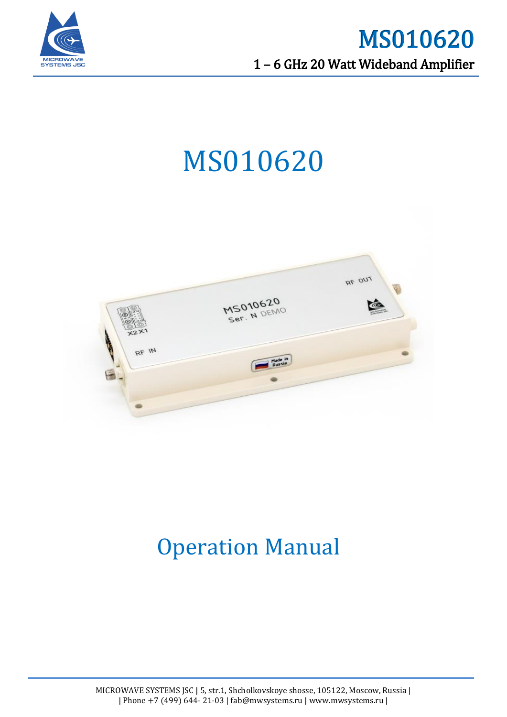

# MS010620



## Operation Manual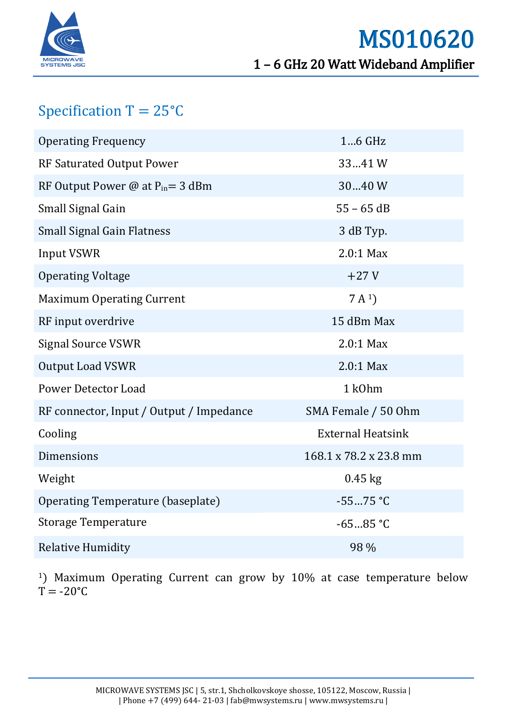

### Specification  $T = 25^{\circ}C$

| <b>Operating Frequency</b>               | 16 GHz                   |
|------------------------------------------|--------------------------|
| RF Saturated Output Power                | 3341W                    |
| RF Output Power @ at $P_{in} = 3$ dBm    | 3040 W                   |
| Small Signal Gain                        | $55 - 65$ dB             |
| <b>Small Signal Gain Flatness</b>        | 3 dB Typ.                |
| <b>Input VSWR</b>                        | $2.0:1$ Max              |
| <b>Operating Voltage</b>                 | $+27V$                   |
| <b>Maximum Operating Current</b>         | 7A <sup>1</sup>          |
| RF input overdrive                       | 15 dBm Max               |
| <b>Signal Source VSWR</b>                | $2.0:1$ Max              |
| <b>Output Load VSWR</b>                  | $2.0:1$ Max              |
| <b>Power Detector Load</b>               | 1 k0hm                   |
| RF connector, Input / Output / Impedance | SMA Female / 50 Ohm      |
| Cooling                                  | <b>External Heatsink</b> |
| Dimensions                               | 168.1 x 78.2 x 23.8 mm   |
| Weight                                   | $0.45$ kg                |
| Operating Temperature (baseplate)        | $-5575 °C$               |
| <b>Storage Temperature</b>               | $-6585 °C$               |
| <b>Relative Humidity</b>                 | 98 %                     |

<sup>1</sup>) Maximum Operating Current can grow by 10% at case temperature below  $T = -20$ °C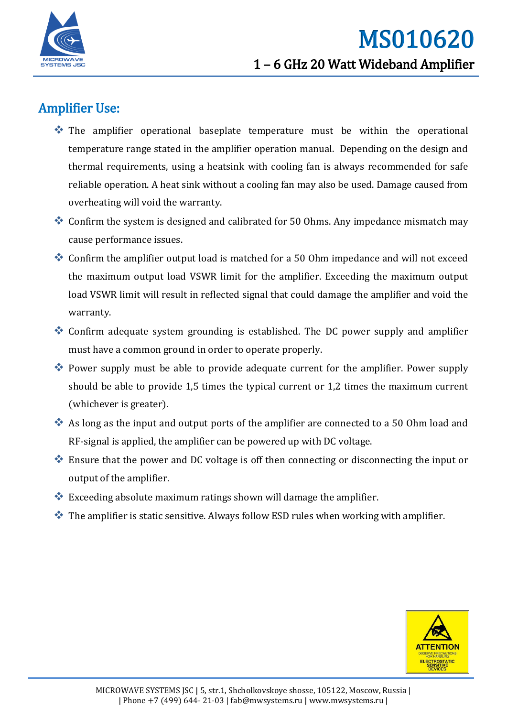

#### Amplifier Use:

- The amplifier operational baseplate temperature must be within the operational temperature range stated in the amplifier operation manual. Depending on the design and thermal requirements, using a heatsink with cooling fan is always recommended for safe reliable operation. A heat sink without a cooling fan may also be used. Damage caused from overheating will void the warranty.
- Confirm the system is designed and calibrated for 50 Ohms. Any impedance mismatch may cause performance issues.
- Confirm the amplifier output load is matched for a 50 Ohm impedance and will not exceed the maximum output load VSWR limit for the amplifier. Exceeding the maximum output load VSWR limit will result in reflected signal that could damage the amplifier and void the warranty.
- Confirm adequate system grounding is established. The DC power supply and amplifier must have a common ground in order to operate properly.
- Power supply must be able to provide adequate current for the amplifier. Power supply should be able to provide 1,5 times the typical current or 1,2 times the maximum current (whichever is greater).
- As long as the input and output ports of the amplifier are connected to a 50 Ohm load and RF-signal is applied, the amplifier can be powered up with DC voltage.
- Ensure that the power and DC voltage is off then connecting or disconnecting the input or output of the amplifier.
- $\bullet$  Exceeding absolute maximum ratings shown will damage the amplifier.
- $\cdot$  The amplifier is static sensitive. Always follow ESD rules when working with amplifier.

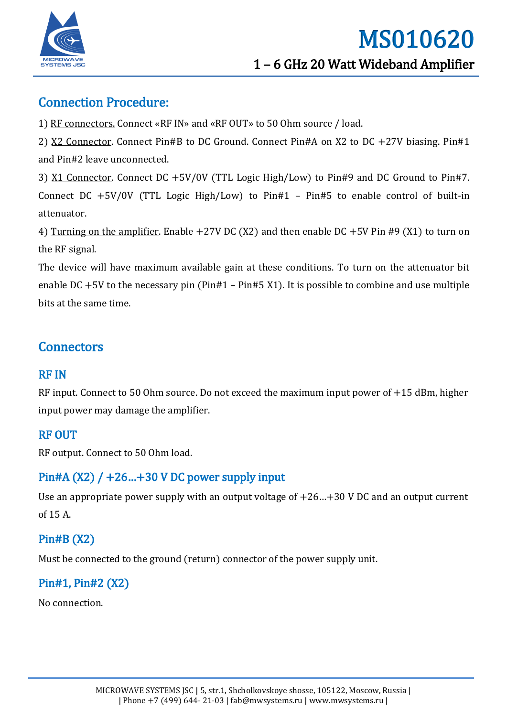

#### Connection Procedure:

1) RF connectors. Connect «RF IN» and «RF OUT» to 50 Ohm source / load.

2) X2 Connector. Connect Pin#B to DC Ground. Connect Pin#A on X2 to DC +27V biasing. Pin#1 and Pin#2 leave unconnected.

3) X1 Connector. Connect DC +5V/0V (TTL Logic High/Low) to Pin#9 and DC Ground to Pin#7. Connect DC +5V/0V (TTL Logic High/Low) to Pin#1 – Pin#5 to enable control of built-in attenuator.

4) Turning on the amplifier. Enable +27V DC (X2) and then enable DC +5V Pin #9 (X1) to turn on the RF signal.

The device will have maximum available gain at these conditions. To turn on the attenuator bit enable DC  $+5V$  to the necessary pin (Pin#1 – Pin#5 X1). It is possible to combine and use multiple bits at the same time.

#### **Connectors**

#### RF IN

RF input. Connect to 50 Ohm source. Do not exceed the maximum input power of +15 dBm, higher input power may damage the amplifier.

#### RF OUT

RF output. Connect to 50 Ohm load.

#### Pin#A  $(X2)$  /  $+26...+30$  V DC power supply input

Use an appropriate power supply with an output voltage of  $+26...+30$  V DC and an output current of 15 A.

#### Pin#B (X2)

Must be connected to the ground (return) connector of the power supply unit.

#### Pin#1, Pin#2 (X2)

No connection.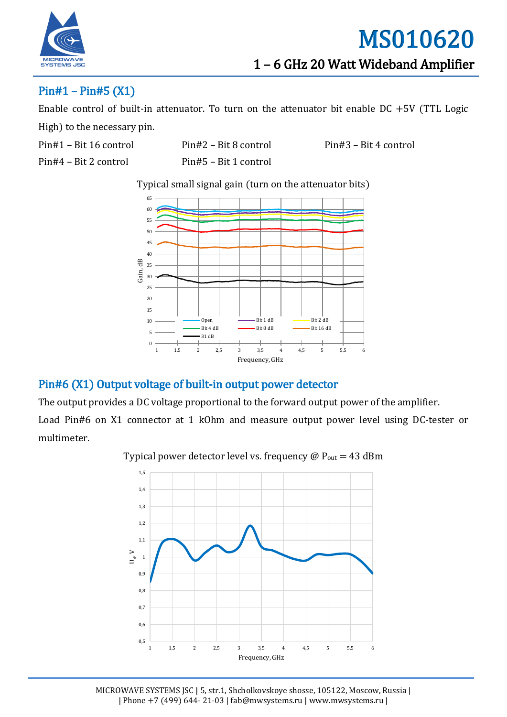

#### Pin#1 – Pin#5 (X1)

Enable control of built-in attenuator. To turn on the attenuator bit enable DC +5V (TTL Logic High) to the necessary pin.

Pin#4 – Bit 2 control Pin#5 – Bit 1 control

Pin#1 – Bit 16 control Pin#2 – Bit 8 control Pin#3 – Bit 4 control

Typical small signal gain (turn on the attenuator bits)



#### Pin#6 (X1) Output voltage of built-in output power detector

The output provides a DC voltage proportional to the forward output power of the amplifier.

Load Pin#6 on X1 connector at 1 kOhm and measure output power level using DC-tester or multimeter.



Typical power detector level vs. frequency  $\omega P_{\text{out}} = 43$  dBm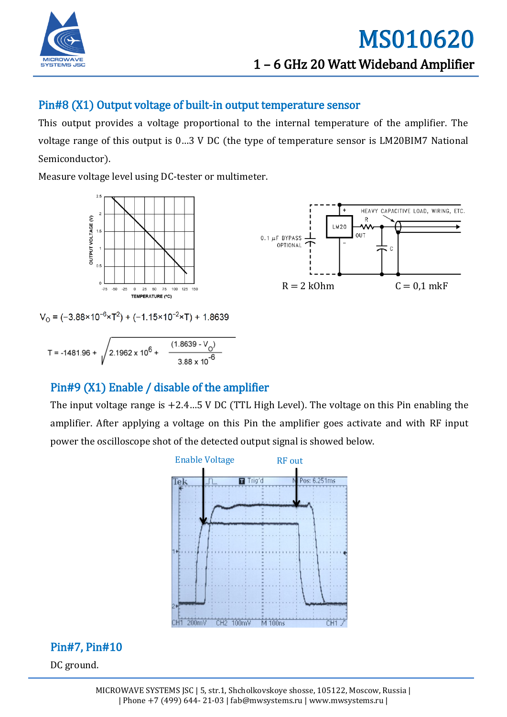

#### Pin#8 (X1) Output voltage of built-in output temperature sensor

This output provides a voltage proportional to the internal temperature of the amplifier. The voltage range of this output is 0…3 V DC (the type of temperature sensor is LM20BIM7 National Semiconductor).

Measure voltage level using DC-tester or multimeter.



 $V_0 = (-3.88 \times 10^{-6} \times T^2) + (-1.15 \times 10^{-2} \times T) + 1.8639$ 

T = -1481.96 +  $\sqrt{2.1962 \times 10^6 + \frac{(1.8639 - V_0)}{3.88 \times 10^{-6}}}$ 

#### Pin#9 (X1) Enable / disable of the amplifier

The input voltage range is +2.4…5 V DC (TTL High Level). The voltage on this Pin enabling the amplifier. After applying a voltage on this Pin the amplifier goes activate and with RF input power the oscilloscope shot of the detected output signal is showed below.



#### Pin#7, Pin#10

DC ground.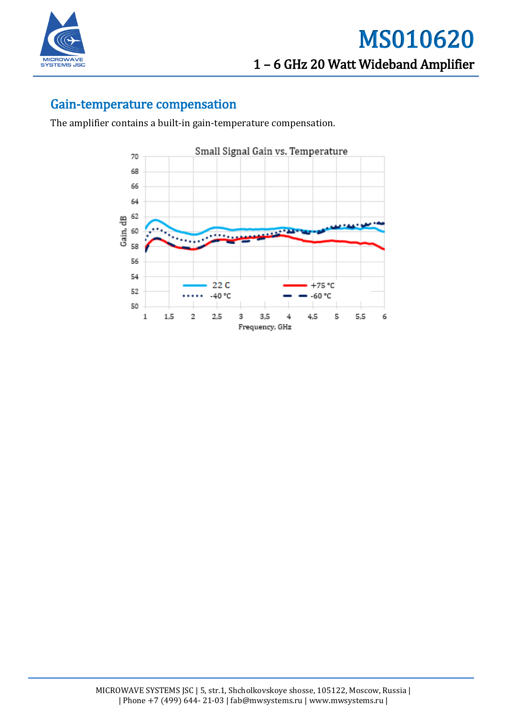

#### Gain-temperature compensation

The amplifier contains a built-in gain-temperature compensation.